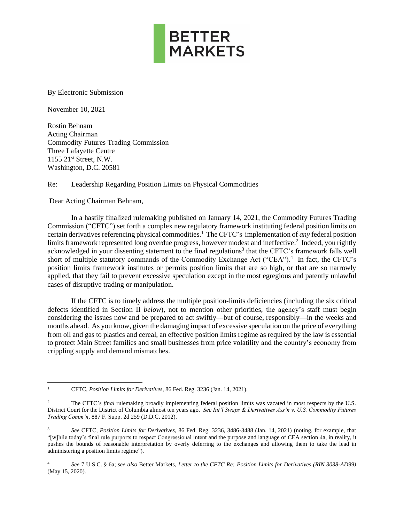

### By Electronic Submission

November 10, 2021

Rostin Behnam Acting Chairman Commodity Futures Trading Commission Three Lafayette Centre 1155 21st Street, N.W. Washington, D.C. 20581

## Re: Leadership Regarding Position Limits on Physical Commodities

### Dear Acting Chairman Behnam,

In a hastily finalized rulemaking published on January 14, 2021, the Commodity Futures Trading Commission ("CFTC") set forth a complex new regulatory framework instituting federal position limits on certain derivatives referencing physical commodities. 1 The CFTC's implementation of *any* federal position limits framework represented long overdue progress, however modest and ineffective.<sup>2</sup> Indeed, you rightly acknowledged in your dissenting statement to the final regulations<sup>3</sup> that the CFTC's framework falls well short of multiple statutory commands of the Commodity Exchange Act ("CEA").<sup>4</sup> In fact, the CFTC's position limits framework institutes or permits position limits that are so high, or that are so narrowly applied, that they fail to prevent excessive speculation except in the most egregious and patently unlawful cases of disruptive trading or manipulation.

If the CFTC is to timely address the multiple position-limits deficiencies (including the six critical defects identified in Section II *below*), not to mention other priorities, the agency's staff must begin considering the issues now and be prepared to act swiftly—but of course, responsibly—in the weeks and months ahead. As you know, given the damaging impact of excessive speculation on the price of everything from oil and gas to plastics and cereal, an effective position limits regime as required by the law is essential to protect Main Street families and small businesses from price volatility and the country's economy from crippling supply and demand mismatches.

<sup>1</sup> CFTC, *[Position Limits for Derivatives](https://www.govinfo.gov/content/pkg/FR-2021-01-14/pdf/2020-25332.pdf)*, 86 Fed. Reg. 3236 (Jan. 14, 2021).

<sup>2</sup> The CFTC's *final* rulemaking broadly implementing federal position limits was vacated in most respects by the U.S. District Court for the District of Columbia almost ten years ago. *See [Int'l Swaps & Derivatives Ass'n v. U.S. Commodity Futures](https://casetext.com/case/intl-swaps-derivatives-assn-v-us-commodity-futures-trading-commn)  [Trading Comm'n,](https://casetext.com/case/intl-swaps-derivatives-assn-v-us-commodity-futures-trading-commn)* 887 F. Supp. 2d 259 (D.D.C. 2012).

<sup>3</sup> *See* CFTC, *[Position Limits for Derivatives](https://www.govinfo.gov/content/pkg/FR-2021-01-14/pdf/2020-25332.pdf)*, 86 Fed. Reg. 3236, 3486-3488 (Jan. 14, 2021) (noting, for example, that "[w]hile today's final rule purports to respect Congressional intent and the purpose and language of CEA section 4a, in reality, it pushes the bounds of reasonable interpretation by overly deferring to the exchanges and allowing them to take the lead in administering a position limits regime").

<sup>4</sup> *See* 7 U.S.C. § 6a; *see also* Better Markets, *[Letter to the CFTC Re: Position Limits for Derivatives \(RIN 3038-AD99\)](https://bettermarkets.com/sites/default/files/Better_Markets_Comment_Letter_on_Position_Limits_for_Derivatives_Upload.pdf)* (May 15, 2020).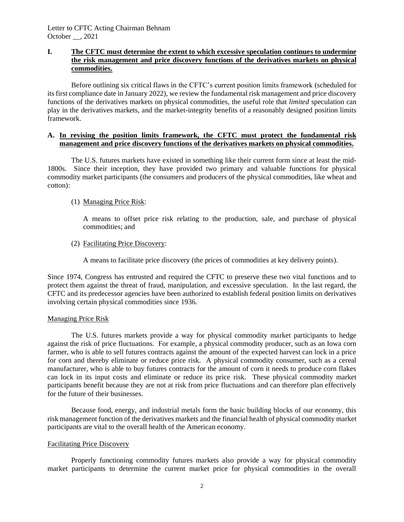## **I. The CFTC must determine the extent to which excessive speculation continues to undermine the risk management and price discovery functions of the derivatives markets on physical commodities.**

Before outlining six critical flaws in the CFTC's current position limits framework (scheduled for its first compliance date in January 2022), we review the fundamental risk management and price discovery functions of the derivatives markets on physical commodities, the useful role that *limited* speculation can play in the derivatives markets, and the market-integrity benefits of a reasonably designed position limits framework.

### **A. In revising the position limits framework, the CFTC must protect the fundamental risk management and price discovery functions of the derivatives markets on physical commodities.**

The U.S. futures markets have existed in something like their current form since at least the mid-1800s. Since their inception, they have provided two primary and valuable functions for physical commodity market participants (the consumers and producers of the physical commodities, like wheat and cotton):

# (1) Managing Price Risk:

A means to offset price risk relating to the production, sale, and purchase of physical commodities; and

# (2) Facilitating Price Discovery:

A means to facilitate price discovery (the prices of commodities at key delivery points).

Since 1974, Congress has entrusted and required the CFTC to preserve these two vital functions and to protect them against the threat of fraud, manipulation, and excessive speculation. In the last regard, the CFTC and its predecessor agencies have been authorized to establish federal position limits on derivatives involving certain physical commodities since 1936.

## Managing Price Risk

The U.S. futures markets provide a way for physical commodity market participants to hedge against the risk of price fluctuations. For example, a physical commodity producer, such as an Iowa corn farmer, who is able to sell futures contracts against the amount of the expected harvest can lock in a price for corn and thereby eliminate or reduce price risk. A physical commodity consumer, such as a cereal manufacturer, who is able to buy futures contracts for the amount of corn it needs to produce corn flakes can lock in its input costs and eliminate or reduce its price risk. These physical commodity market participants benefit because they are not at risk from price fluctuations and can therefore plan effectively for the future of their businesses.

Because food, energy, and industrial metals form the basic building blocks of our economy, this risk management function of the derivatives markets and the financial health of physical commodity market participants are vital to the overall health of the American economy.

## Facilitating Price Discovery

Properly functioning commodity futures markets also provide a way for physical commodity market participants to determine the current market price for physical commodities in the overall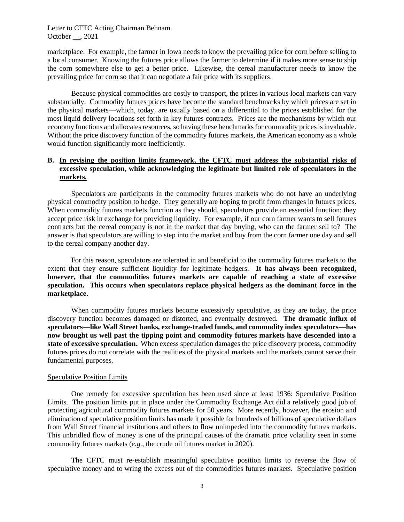marketplace. For example, the farmer in Iowa needs to know the prevailing price for corn before selling to a local consumer. Knowing the futures price allows the farmer to determine if it makes more sense to ship the corn somewhere else to get a better price. Likewise, the cereal manufacturer needs to know the prevailing price for corn so that it can negotiate a fair price with its suppliers.

Because physical commodities are costly to transport, the prices in various local markets can vary substantially. Commodity futures prices have become the standard benchmarks by which prices are set in the physical markets—which, today, are usually based on a differential to the prices established for the most liquid delivery locations set forth in key futures contracts. Prices are the mechanisms by which our economy functions and allocates resources, so having these benchmarks for commodity prices is invaluable. Without the price discovery function of the commodity futures markets, the American economy as a whole would function significantly more inefficiently.

# **B. In revising the position limits framework, the CFTC must address the substantial risks of excessive speculation, while acknowledging the legitimate but limited role of speculators in the markets.**

Speculators are participants in the commodity futures markets who do not have an underlying physical commodity position to hedge. They generally are hoping to profit from changes in futures prices. When commodity futures markets function as they should, speculators provide an essential function: they accept price risk in exchange for providing liquidity. For example, if our corn farmer wants to sell futures contracts but the cereal company is not in the market that day buying, who can the farmer sell to? The answer is that speculators are willing to step into the market and buy from the corn farmer one day and sell to the cereal company another day.

For this reason, speculators are tolerated in and beneficial to the commodity futures markets to the extent that they ensure sufficient liquidity for legitimate hedgers. **It has always been recognized, however, that the commodities futures markets are capable of reaching a state of excessive speculation. This occurs when speculators replace physical hedgers as the dominant force in the marketplace.** 

When commodity futures markets become excessively speculative, as they are today, the price discovery function becomes damaged or distorted, and eventually destroyed. **The dramatic influx of speculators—like Wall Street banks, exchange-traded funds, and commodity index speculators—has now brought us well past the tipping point and commodity futures markets have descended into a state of excessive speculation.** When excess speculation damages the price discovery process, commodity futures prices do not correlate with the realities of the physical markets and the markets cannot serve their fundamental purposes.

#### Speculative Position Limits

One remedy for excessive speculation has been used since at least 1936: Speculative Position Limits. The position limits put in place under the Commodity Exchange Act did a relatively good job of protecting agricultural commodity futures markets for 50 years. More recently, however, the erosion and elimination of speculative position limits has made it possible for hundreds of billions of speculative dollars from Wall Street financial institutions and others to flow unimpeded into the commodity futures markets. This unbridled flow of money is one of the principal causes of the dramatic price volatility seen in some commodity futures markets (*e.g.*, the crude oil futures market in 2020).

The CFTC must re-establish meaningful speculative position limits to reverse the flow of speculative money and to wring the excess out of the commodities futures markets. Speculative position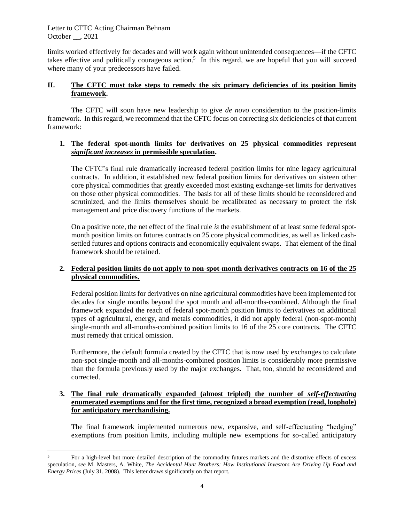limits worked effectively for decades and will work again without unintended consequences—if the CFTC takes effective and politically courageous action.<sup>5</sup> In this regard, we are hopeful that you will succeed where many of your predecessors have failed.

# **II. The CFTC must take steps to remedy the six primary deficiencies of its position limits framework.**

The CFTC will soon have new leadership to give *de novo* consideration to the position-limits framework. In this regard, we recommend that the CFTC focus on correcting six deficiencies of that current framework:

# **1. The federal spot-month limits for derivatives on 25 physical commodities represent**  *significant increases* **in permissible speculation.**

The CFTC's final rule dramatically increased federal position limits for nine legacy agricultural contracts. In addition, it established new federal position limits for derivatives on sixteen other core physical commodities that greatly exceeded most existing exchange-set limits for derivatives on those other physical commodities. The basis for all of these limits should be reconsidered and scrutinized, and the limits themselves should be recalibrated as necessary to protect the risk management and price discovery functions of the markets.

On a positive note, the net effect of the final rule *is* the establishment of at least some federal spotmonth position limits on futures contracts on 25 core physical commodities, as well as linked cashsettled futures and options contracts and economically equivalent swaps. That element of the final framework should be retained.

# **2. Federal position limits do not apply to non-spot-month derivatives contracts on 16 of the 25 physical commodities.**

Federal position limits for derivatives on nine agricultural commodities have been implemented for decades for single months beyond the spot month and all-months-combined. Although the final framework expanded the reach of federal spot-month position limits to derivatives on additional types of agricultural, energy, and metals commodities, it did not apply federal (non-spot-month) single-month and all-months-combined position limits to 16 of the 25 core contracts. The CFTC must remedy that critical omission.

Furthermore, the default formula created by the CFTC that is now used by exchanges to calculate non-spot single-month and all-months-combined position limits is considerably more permissive than the formula previously used by the major exchanges. That, too, should be reconsidered and corrected.

## **3. The final rule dramatically expanded (almost tripled) the number of** *self-effectuating*  **enumerated exemptions and for the first time, recognized a broad exemption (read, loophole) for anticipatory merchandising.**

The final framework implemented numerous new, expansive, and self-effectuating "hedging" exemptions from position limits, including multiple new exemptions for so-called anticipatory

<sup>5</sup> For a high-level but more detailed description of the commodity futures markets and the distortive effects of excess speculation, *see* M. Masters, A. White, *[The Accidental Hunt Brothers: How Institutional Investors Are Driving Up Food and](https://loe.org/images/content/080919/Act1.pdf)  [Energy Prices](https://loe.org/images/content/080919/Act1.pdf)* (July 31, 2008). This letter draws significantly on that report.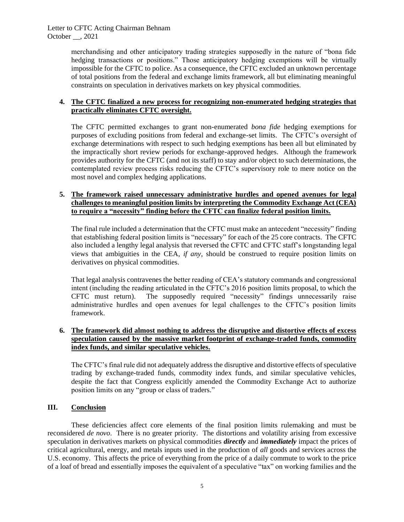> merchandising and other anticipatory trading strategies supposedly in the nature of "bona fide hedging transactions or positions." Those anticipatory hedging exemptions will be virtually impossible for the CFTC to police. As a consequence, the CFTC excluded an unknown percentage of total positions from the federal and exchange limits framework, all but eliminating meaningful constraints on speculation in derivatives markets on key physical commodities.

# **4. The CFTC finalized a new process for recognizing non-enumerated hedging strategies that practically eliminates CFTC oversight.**

The CFTC permitted exchanges to grant non-enumerated *bona fide* hedging exemptions for purposes of excluding positions from federal and exchange-set limits. The CFTC's oversight of exchange determinations with respect to such hedging exemptions has been all but eliminated by the impractically short review periods for exchange-approved hedges. Although the framework provides authority for the CFTC (and not its staff) to stay and/or object to such determinations, the contemplated review process risks reducing the CFTC's supervisory role to mere notice on the most novel and complex hedging applications.

## **5. The framework raised unnecessary administrative hurdles and opened avenues for legal challenges to meaningful position limits by interpreting the Commodity Exchange Act (CEA) to require a "necessity" finding before the CFTC can finalize federal position limits.**

The final rule included a determination that the CFTC must make an antecedent "necessity" finding that establishing federal position limits is "necessary" for each of the 25 core contracts. The CFTC also included a lengthy legal analysis that reversed the CFTC and CFTC staff's longstanding legal views that ambiguities in the CEA, *if any*, should be construed to require position limits on derivatives on physical commodities.

That legal analysis contravenes the better reading of CEA's statutory commands and congressional intent (including the reading articulated in the CFTC's 2016 position limits proposal, to which the CFTC must return). The supposedly required "necessity" findings unnecessarily raise administrative hurdles and open avenues for legal challenges to the CFTC's position limits framework.

# **6. The framework did almost nothing to address the disruptive and distortive effects of excess speculation caused by the massive market footprint of exchange-traded funds, commodity index funds, and similar speculative vehicles.**

The CFTC's final rule did not adequately address the disruptive and distortive effects of speculative trading by exchange-traded funds, commodity index funds, and similar speculative vehicles, despite the fact that Congress explicitly amended the Commodity Exchange Act to authorize position limits on any "group or class of traders."

## **III. Conclusion**

These deficiencies affect core elements of the final position limits rulemaking and must be reconsidered *de novo*. There is no greater priority. The distortions and volatility arising from excessive speculation in derivatives markets on physical commodities *directly* and *immediately* impact the prices of critical agricultural, energy, and metals inputs used in the production of *all* goods and services across the U.S. economy. This affects the price of everything from the price of a daily commute to work to the price of a loaf of bread and essentially imposes the equivalent of a speculative "tax" on working families and the